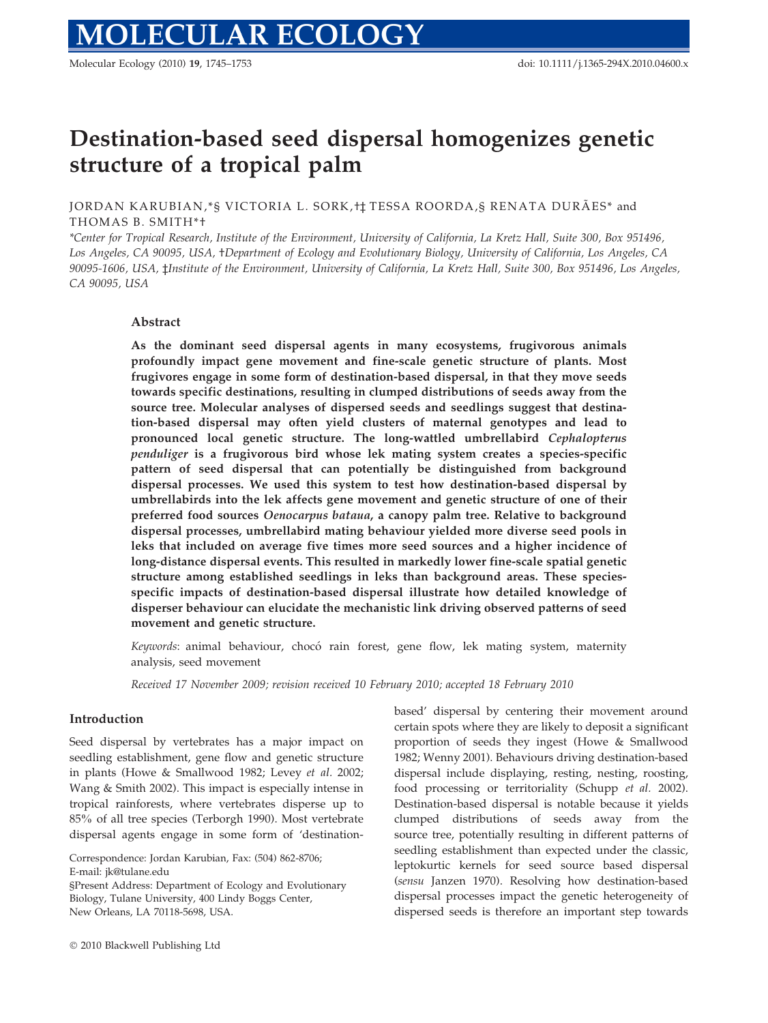Molecular Ecology (2010) 19, 1745–1753 doi: 10.1111/j.1365-294X.2010.04600.x

# Destination-based seed dispersal homogenizes genetic structure of a tropical palm

JORDAN KARUBIAN, \* § VICTORIA L. SORK, + 1 TESSA ROORDA, § RENATA DURÃES\* and THOMAS B. SMITH\*†

\*Center for Tropical Research, Institute of the Environment, University of California, La Kretz Hall, Suite 300, Box 951496, Los Angeles, CA 90095, USA, †Department of Ecology and Evolutionary Biology, University of California, Los Angeles, CA 90095-1606, USA, ‡Institute of the Environment, University of California, La Kretz Hall, Suite 300, Box 951496, Los Angeles, CA 90095, USA

# Abstract

As the dominant seed dispersal agents in many ecosystems, frugivorous animals profoundly impact gene movement and fine-scale genetic structure of plants. Most frugivores engage in some form of destination-based dispersal, in that they move seeds towards specific destinations, resulting in clumped distributions of seeds away from the source tree. Molecular analyses of dispersed seeds and seedlings suggest that destination-based dispersal may often yield clusters of maternal genotypes and lead to pronounced local genetic structure. The long-wattled umbrellabird Cephalopterus penduliger is a frugivorous bird whose lek mating system creates a species-specific pattern of seed dispersal that can potentially be distinguished from background dispersal processes. We used this system to test how destination-based dispersal by umbrellabirds into the lek affects gene movement and genetic structure of one of their preferred food sources Oenocarpus bataua, a canopy palm tree. Relative to background dispersal processes, umbrellabird mating behaviour yielded more diverse seed pools in leks that included on average five times more seed sources and a higher incidence of long-distance dispersal events. This resulted in markedly lower fine-scale spatial genetic structure among established seedlings in leks than background areas. These speciesspecific impacts of destination-based dispersal illustrate how detailed knowledge of disperser behaviour can elucidate the mechanistic link driving observed patterns of seed movement and genetic structure.

Keywords: animal behaviour, chocó rain forest, gene flow, lek mating system, maternity analysis, seed movement

Received 17 November 2009; revision received 10 February 2010; accepted 18 February 2010

# Introduction

Seed dispersal by vertebrates has a major impact on seedling establishment, gene flow and genetic structure in plants (Howe & Smallwood 1982; Levey et al. 2002; Wang & Smith 2002). This impact is especially intense in tropical rainforests, where vertebrates disperse up to 85% of all tree species (Terborgh 1990). Most vertebrate dispersal agents engage in some form of 'destination-

Correspondence: Jordan Karubian, Fax: (504) 862-8706; E-mail: jk@tulane.edu §Present Address: Department of Ecology and Evolutionary

Biology, Tulane University, 400 Lindy Boggs Center, New Orleans, LA 70118-5698, USA.

based' dispersal by centering their movement around certain spots where they are likely to deposit a significant proportion of seeds they ingest (Howe & Smallwood 1982; Wenny 2001). Behaviours driving destination-based dispersal include displaying, resting, nesting, roosting, food processing or territoriality (Schupp et al. 2002). Destination-based dispersal is notable because it yields clumped distributions of seeds away from the source tree, potentially resulting in different patterns of seedling establishment than expected under the classic, leptokurtic kernels for seed source based dispersal (sensu Janzen 1970). Resolving how destination-based dispersal processes impact the genetic heterogeneity of dispersed seeds is therefore an important step towards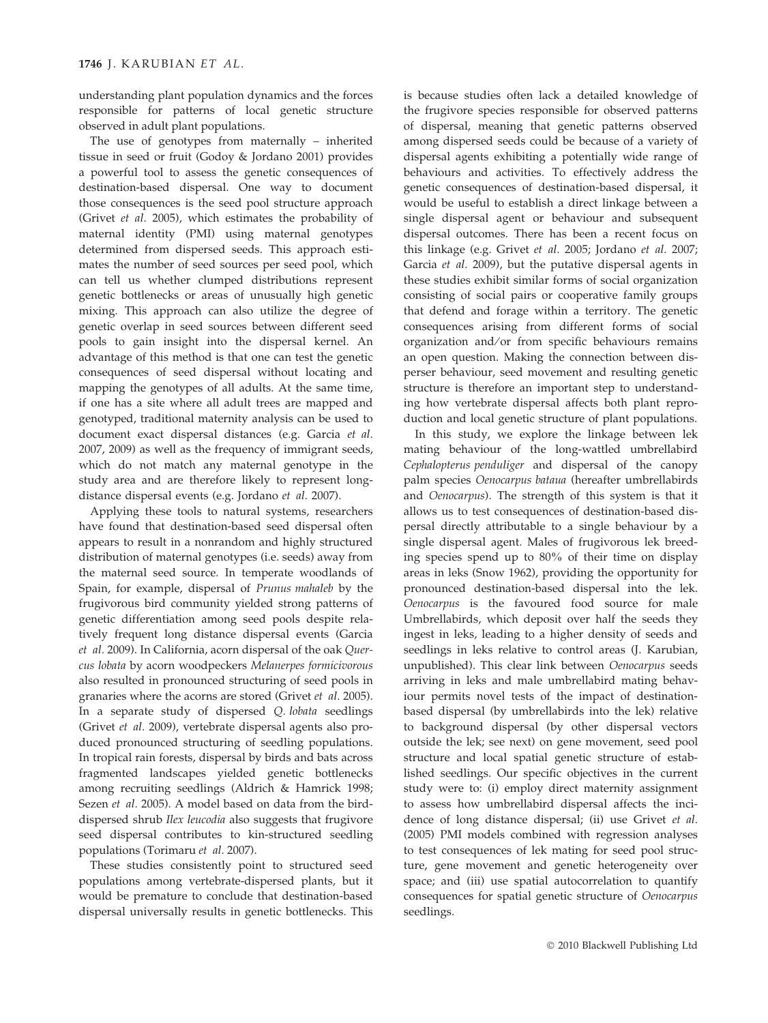understanding plant population dynamics and the forces responsible for patterns of local genetic structure observed in adult plant populations.

The use of genotypes from maternally – inherited tissue in seed or fruit (Godoy & Jordano 2001) provides a powerful tool to assess the genetic consequences of destination-based dispersal. One way to document those consequences is the seed pool structure approach (Grivet et al. 2005), which estimates the probability of maternal identity (PMI) using maternal genotypes determined from dispersed seeds. This approach estimates the number of seed sources per seed pool, which can tell us whether clumped distributions represent genetic bottlenecks or areas of unusually high genetic mixing. This approach can also utilize the degree of genetic overlap in seed sources between different seed pools to gain insight into the dispersal kernel. An advantage of this method is that one can test the genetic consequences of seed dispersal without locating and mapping the genotypes of all adults. At the same time, if one has a site where all adult trees are mapped and genotyped, traditional maternity analysis can be used to document exact dispersal distances (e.g. Garcia et al. 2007, 2009) as well as the frequency of immigrant seeds, which do not match any maternal genotype in the study area and are therefore likely to represent longdistance dispersal events (e.g. Jordano et al. 2007).

Applying these tools to natural systems, researchers have found that destination-based seed dispersal often appears to result in a nonrandom and highly structured distribution of maternal genotypes (i.e. seeds) away from the maternal seed source. In temperate woodlands of Spain, for example, dispersal of Prunus mahaleb by the frugivorous bird community yielded strong patterns of genetic differentiation among seed pools despite relatively frequent long distance dispersal events (Garcia et al. 2009). In California, acorn dispersal of the oak Quercus lobata by acorn woodpeckers Melanerpes formicivorous also resulted in pronounced structuring of seed pools in granaries where the acorns are stored (Grivet et al. 2005). In a separate study of dispersed Q. lobata seedlings (Grivet et al. 2009), vertebrate dispersal agents also produced pronounced structuring of seedling populations. In tropical rain forests, dispersal by birds and bats across fragmented landscapes yielded genetic bottlenecks among recruiting seedlings (Aldrich & Hamrick 1998; Sezen et al. 2005). A model based on data from the birddispersed shrub Ilex leucodia also suggests that frugivore seed dispersal contributes to kin-structured seedling populations (Torimaru et al. 2007).

These studies consistently point to structured seed populations among vertebrate-dispersed plants, but it would be premature to conclude that destination-based dispersal universally results in genetic bottlenecks. This

is because studies often lack a detailed knowledge of the frugivore species responsible for observed patterns of dispersal, meaning that genetic patterns observed among dispersed seeds could be because of a variety of dispersal agents exhibiting a potentially wide range of behaviours and activities. To effectively address the genetic consequences of destination-based dispersal, it would be useful to establish a direct linkage between a single dispersal agent or behaviour and subsequent dispersal outcomes. There has been a recent focus on this linkage (e.g. Grivet et al. 2005; Jordano et al. 2007; Garcia et al. 2009), but the putative dispersal agents in these studies exhibit similar forms of social organization consisting of social pairs or cooperative family groups that defend and forage within a territory. The genetic consequences arising from different forms of social organization and/or from specific behaviours remains an open question. Making the connection between disperser behaviour, seed movement and resulting genetic structure is therefore an important step to understanding how vertebrate dispersal affects both plant reproduction and local genetic structure of plant populations.

In this study, we explore the linkage between lek mating behaviour of the long-wattled umbrellabird Cephalopterus penduliger and dispersal of the canopy palm species Oenocarpus bataua (hereafter umbrellabirds and Oenocarpus). The strength of this system is that it allows us to test consequences of destination-based dispersal directly attributable to a single behaviour by a single dispersal agent. Males of frugivorous lek breeding species spend up to 80% of their time on display areas in leks (Snow 1962), providing the opportunity for pronounced destination-based dispersal into the lek. Oenocarpus is the favoured food source for male Umbrellabirds, which deposit over half the seeds they ingest in leks, leading to a higher density of seeds and seedlings in leks relative to control areas (J. Karubian, unpublished). This clear link between Oenocarpus seeds arriving in leks and male umbrellabird mating behaviour permits novel tests of the impact of destinationbased dispersal (by umbrellabirds into the lek) relative to background dispersal (by other dispersal vectors outside the lek; see next) on gene movement, seed pool structure and local spatial genetic structure of established seedlings. Our specific objectives in the current study were to: (i) employ direct maternity assignment to assess how umbrellabird dispersal affects the incidence of long distance dispersal; (ii) use Grivet et al. (2005) PMI models combined with regression analyses to test consequences of lek mating for seed pool structure, gene movement and genetic heterogeneity over space; and (iii) use spatial autocorrelation to quantify consequences for spatial genetic structure of Oenocarpus seedlings.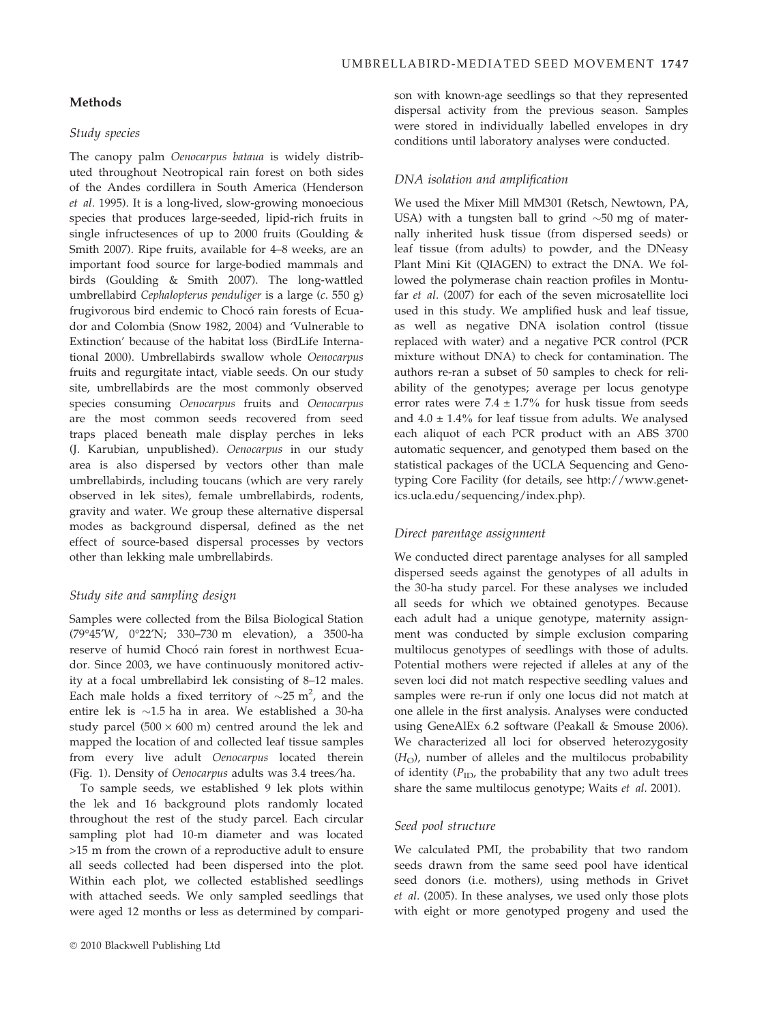# Study species

The canopy palm Oenocarpus bataua is widely distributed throughout Neotropical rain forest on both sides of the Andes cordillera in South America (Henderson et al. 1995). It is a long-lived, slow-growing monoecious species that produces large-seeded, lipid-rich fruits in single infructesences of up to 2000 fruits (Goulding & Smith 2007). Ripe fruits, available for 4–8 weeks, are an important food source for large-bodied mammals and birds (Goulding & Smith 2007). The long-wattled umbrellabird Cephalopterus penduliger is a large (c. 550 g) frugivorous bird endemic to Chocó rain forests of Ecuador and Colombia (Snow 1982, 2004) and 'Vulnerable to Extinction' because of the habitat loss (BirdLife International 2000). Umbrellabirds swallow whole Oenocarpus fruits and regurgitate intact, viable seeds. On our study site, umbrellabirds are the most commonly observed species consuming Oenocarpus fruits and Oenocarpus are the most common seeds recovered from seed traps placed beneath male display perches in leks (J. Karubian, unpublished). Oenocarpus in our study area is also dispersed by vectors other than male umbrellabirds, including toucans (which are very rarely observed in lek sites), female umbrellabirds, rodents, gravity and water. We group these alternative dispersal modes as background dispersal, defined as the net effect of source-based dispersal processes by vectors other than lekking male umbrellabirds.

# Study site and sampling design

Samples were collected from the Bilsa Biological Station (79"45¢W, 0"22¢N; 330–730 m elevation), a 3500-ha reserve of humid Chocó rain forest in northwest Ecuador. Since 2003, we have continuously monitored activity at a focal umbrellabird lek consisting of 8–12 males. Each male holds a fixed territory of  $\sim$ 25 m<sup>2</sup>, and the entire lek is  $\sim$ 1.5 ha in area. We established a 30-ha study parcel ( $500 \times 600$  m) centred around the lek and mapped the location of and collected leaf tissue samples from every live adult Oenocarpus located therein (Fig. 1). Density of Oenocarpus adults was 3.4 trees ⁄ ha.

To sample seeds, we established 9 lek plots within the lek and 16 background plots randomly located throughout the rest of the study parcel. Each circular sampling plot had 10-m diameter and was located >15 m from the crown of a reproductive adult to ensure all seeds collected had been dispersed into the plot. Within each plot, we collected established seedlings with attached seeds. We only sampled seedlings that were aged 12 months or less as determined by comparison with known-age seedlings so that they represented dispersal activity from the previous season. Samples were stored in individually labelled envelopes in dry conditions until laboratory analyses were conducted.

# DNA isolation and amplification

We used the Mixer Mill MM301 (Retsch, Newtown, PA, USA) with a tungsten ball to grind  $\sim$ 50 mg of maternally inherited husk tissue (from dispersed seeds) or leaf tissue (from adults) to powder, and the DNeasy Plant Mini Kit (QIAGEN) to extract the DNA. We followed the polymerase chain reaction profiles in Montufar et al. (2007) for each of the seven microsatellite loci used in this study. We amplified husk and leaf tissue, as well as negative DNA isolation control (tissue replaced with water) and a negative PCR control (PCR mixture without DNA) to check for contamination. The authors re-ran a subset of 50 samples to check for reliability of the genotypes; average per locus genotype error rates were  $7.4 \pm 1.7\%$  for husk tissue from seeds and  $4.0 \pm 1.4\%$  for leaf tissue from adults. We analysed each aliquot of each PCR product with an ABS 3700 automatic sequencer, and genotyped them based on the statistical packages of the UCLA Sequencing and Genotyping Core Facility (for details, see http://www.genetics.ucla.edu/sequencing/index.php).

# Direct parentage assignment

We conducted direct parentage analyses for all sampled dispersed seeds against the genotypes of all adults in the 30-ha study parcel. For these analyses we included all seeds for which we obtained genotypes. Because each adult had a unique genotype, maternity assignment was conducted by simple exclusion comparing multilocus genotypes of seedlings with those of adults. Potential mothers were rejected if alleles at any of the seven loci did not match respective seedling values and samples were re-run if only one locus did not match at one allele in the first analysis. Analyses were conducted using GeneAlEx 6.2 software (Peakall & Smouse 2006). We characterized all loci for observed heterozygosity  $(H<sub>O</sub>)$ , number of alleles and the multilocus probability of identity  $(P_{\text{ID}})$ , the probability that any two adult trees share the same multilocus genotype; Waits et al. 2001).

## Seed pool structure

We calculated PMI, the probability that two random seeds drawn from the same seed pool have identical seed donors (i.e. mothers), using methods in Grivet et al. (2005). In these analyses, we used only those plots with eight or more genotyped progeny and used the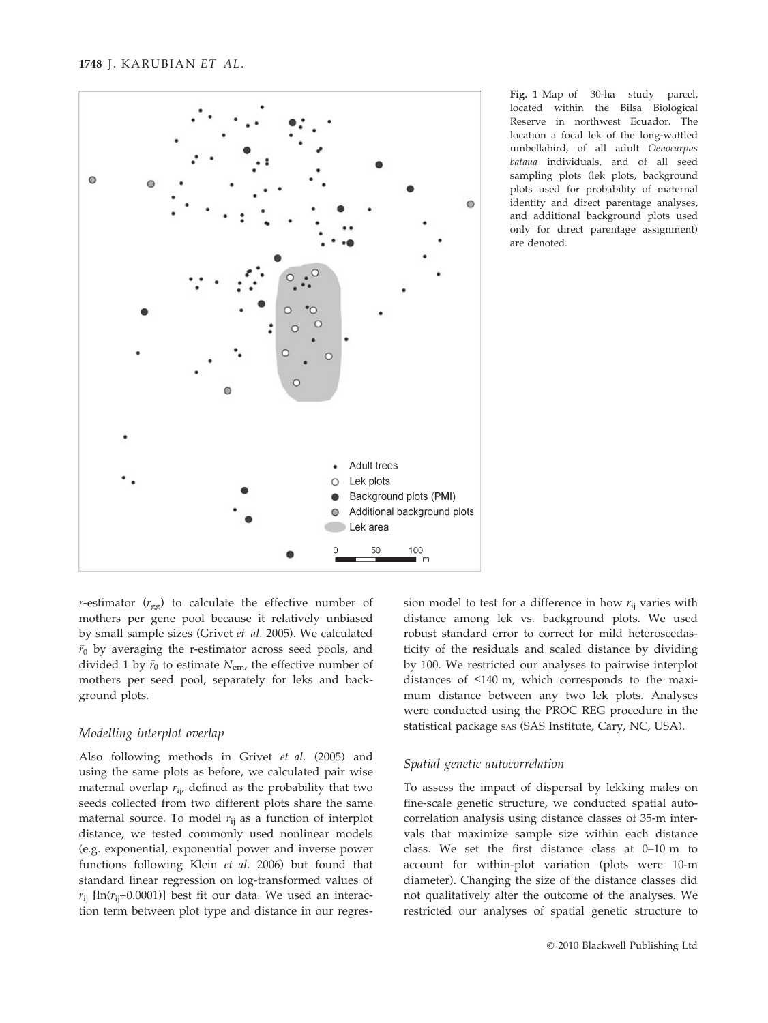

Fig. 1 Map of 30-ha study parcel, located within the Bilsa Biological Reserve in northwest Ecuador. The location a focal lek of the long-wattled umbellabird, of all adult Oenocarpus bataua individuals, and of all seed sampling plots (lek plots, background plots used for probability of maternal identity and direct parentage analyses, and additional background plots used only for direct parentage assignment) are denoted.

*r*-estimator ( $r_{gg}$ ) to calculate the effective number of mothers per gene pool because it relatively unbiased by small sample sizes (Grivet et al. 2005). We calculated  $\bar{r}_0$  by averaging the r-estimator across seed pools, and divided 1 by  $\bar{r}_0$  to estimate N<sub>em</sub>, the effective number of mothers per seed pool, separately for leks and background plots.

# Modelling interplot overlap

Also following methods in Grivet et al. (2005) and using the same plots as before, we calculated pair wise maternal overlap  $r_{ij}$ , defined as the probability that two seeds collected from two different plots share the same maternal source. To model  $r_{ij}$  as a function of interplot distance, we tested commonly used nonlinear models (e.g. exponential, exponential power and inverse power functions following Klein et al. 2006) but found that standard linear regression on log-transformed values of  $r_{ii}$  [ln( $r_{ii}$ +0.0001)] best fit our data. We used an interaction term between plot type and distance in our regression model to test for a difference in how  $r_{ii}$  varies with distance among lek vs. background plots. We used robust standard error to correct for mild heteroscedasticity of the residuals and scaled distance by dividing by 100. We restricted our analyses to pairwise interplot distances of  $\leq$ 140 m, which corresponds to the maximum distance between any two lek plots. Analyses were conducted using the PROC REG procedure in the statistical package SAS (SAS Institute, Cary, NC, USA).

#### Spatial genetic autocorrelation

To assess the impact of dispersal by lekking males on fine-scale genetic structure, we conducted spatial autocorrelation analysis using distance classes of 35-m intervals that maximize sample size within each distance class. We set the first distance class at 0–10 m to account for within-plot variation (plots were 10-m diameter). Changing the size of the distance classes did not qualitatively alter the outcome of the analyses. We restricted our analyses of spatial genetic structure to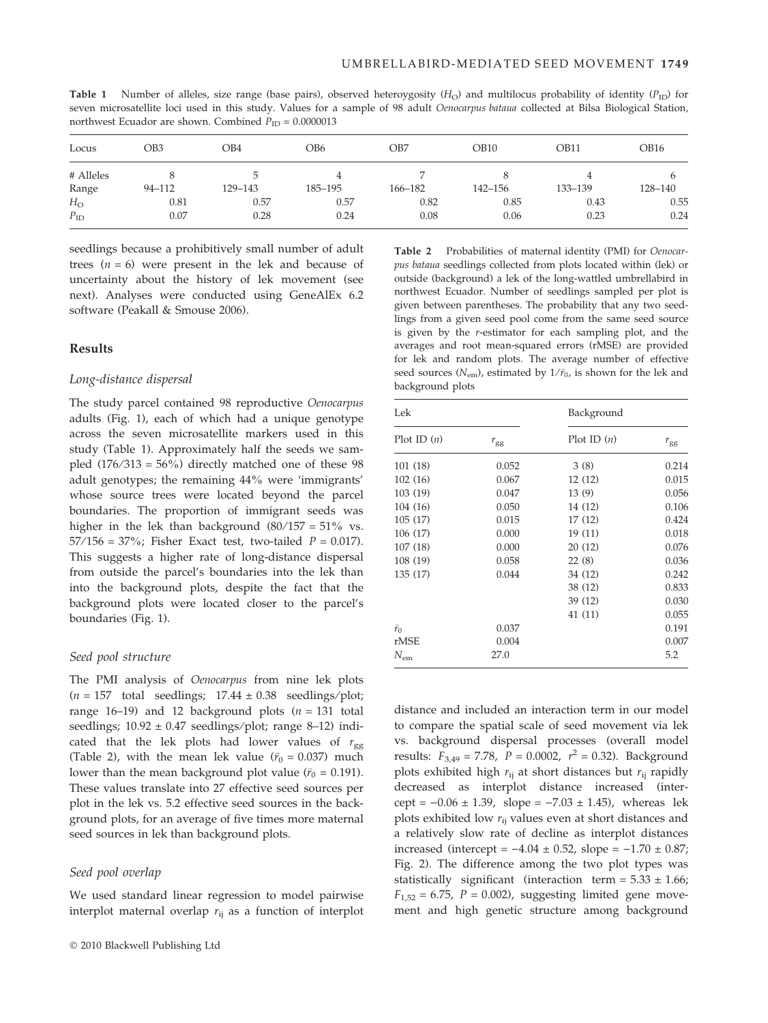Table 1 Number of alleles, size range (base pairs), observed heteroygosity  $(H<sub>O</sub>)$  and multilocus probability of identity ( $P<sub>ID</sub>$ ) for seven microsatellite loci used in this study. Values for a sample of 98 adult Oenocarpus bataua collected at Bilsa Biological Station, northwest Ecuador are shown. Combined  $P_{\text{ID}} = 0.0000013$ 

| Locus           | OB3        | OB4     | OB6     | OB7     | OB10    | OB11    | OB <sub>16</sub> |
|-----------------|------------|---------|---------|---------|---------|---------|------------------|
|                 |            |         |         |         |         |         |                  |
| # Alleles       |            |         | 4       |         |         |         |                  |
| Range           | $94 - 112$ | 129-143 | 185-195 | 166-182 | 142–156 | 133-139 | 128-140          |
| $H_{\rm O}$     | 0.81       | 0.57    | 0.57    | 0.82    | 0.85    | 0.43    | 0.55             |
| $P_{\text{ID}}$ | 0.07       | 0.28    | 0.24    | 0.08    | 0.06    | 0.23    | 0.24             |

seedlings because a prohibitively small number of adult trees ( $n = 6$ ) were present in the lek and because of uncertainty about the history of lek movement (see next). Analyses were conducted using GeneAlEx 6.2 software (Peakall & Smouse 2006).

# Results

#### Long-distance dispersal

The study parcel contained 98 reproductive Oenocarpus adults (Fig. 1), each of which had a unique genotype across the seven microsatellite markers used in this study (Table 1). Approximately half the seeds we sampled  $(176/313 = 56\%)$  directly matched one of these 98 adult genotypes; the remaining 44% were 'immigrants' whose source trees were located beyond the parcel boundaries. The proportion of immigrant seeds was higher in the lek than background  $(80/157 = 51\%$  vs.  $57/156 = 37\%$ ; Fisher Exact test, two-tailed  $P = 0.017$ ). This suggests a higher rate of long-distance dispersal from outside the parcel's boundaries into the lek than into the background plots, despite the fact that the background plots were located closer to the parcel's boundaries (Fig. 1).

#### Seed pool structure

The PMI analysis of Oenocarpus from nine lek plots ( $n = 157$  total seedlings;  $17.44 \pm 0.38$  seedlings/plot; range 16–19) and 12 background plots ( $n = 131$  total seedlings;  $10.92 \pm 0.47$  seedlings/plot; range 8-12) indicated that the lek plots had lower values of  $r_{gg}$ (Table 2), with the mean lek value ( $\bar{r}_0 = 0.037$ ) much lower than the mean background plot value ( $\bar{r}_0$  = 0.191). These values translate into 27 effective seed sources per plot in the lek vs. 5.2 effective seed sources in the background plots, for an average of five times more maternal seed sources in lek than background plots.

#### Seed pool overlap

We used standard linear regression to model pairwise interplot maternal overlap  $r_{ij}$  as a function of interplot Table 2 Probabilities of maternal identity (PMI) for Oenocarpus bataua seedlings collected from plots located within (lek) or outside (background) a lek of the long-wattled umbrellabird in northwest Ecuador. Number of seedlings sampled per plot is given between parentheses. The probability that any two seedlings from a given seed pool come from the same seed source is given by the r-estimator for each sampling plot, and the averages and root mean-squared errors (rMSE) are provided for lek and random plots. The average number of effective seed sources ( $N_{\text{em}}$ ), estimated by  $1/\bar{r}_0$ , is shown for the lek and background plots

| Lek           |              | Background    |              |  |  |
|---------------|--------------|---------------|--------------|--|--|
| Plot ID $(n)$ | $r_{\rm gg}$ | Plot ID $(n)$ | $r_{\rm gg}$ |  |  |
| 101 (18)      | 0.052        | 3(8)          | 0.214        |  |  |
| 102 (16)      | 0.067        | 12(12)        | 0.015        |  |  |
| 103 (19)      | 0.047        | 13(9)         | 0.056        |  |  |
| 104 (16)      | 0.050        | 14 (12)       | 0.106        |  |  |
| 105 (17)      | 0.015        | 17(12)        | 0.424        |  |  |
| 106 (17)      | 0.000        | 19 (11)       | 0.018        |  |  |
| 107 (18)      | 0.000        | 20(12)        | 0.076        |  |  |
| 108 (19)      | 0.058        | 22(8)         | 0.036        |  |  |
| 135 (17)      | 0.044        | 34 (12)       | 0.242        |  |  |
|               |              | 38 (12)       | 0.833        |  |  |
|               |              | 39 (12)       | 0.030        |  |  |
|               |              | 41 (11)       | 0.055        |  |  |
| $\bar{r}_0$   | 0.037        |               | 0.191        |  |  |
| rMSE          | 0.004        |               | 0.007        |  |  |
| $N_{\rm em}$  | 27.0         |               | 5.2          |  |  |

distance and included an interaction term in our model to compare the spatial scale of seed movement via lek vs. background dispersal processes (overall model results:  $F_{3,49} = 7.78$ ,  $P = 0.0002$ ,  $r^2 = 0.32$ ). Background plots exhibited high  $r_{ij}$  at short distances but  $r_{ij}$  rapidly decreased as interplot distance increased (intercept =  $-0.06 \pm 1.39$ , slope =  $-7.03 \pm 1.45$ ), whereas lek plots exhibited low  $r_{ij}$  values even at short distances and a relatively slow rate of decline as interplot distances increased (intercept =  $-4.04 \pm 0.52$ , slope =  $-1.70 \pm 0.87$ ; Fig. 2). The difference among the two plot types was statistically significant (interaction term =  $5.33 \pm 1.66$ ;  $F_{1,52} = 6.75$ ,  $P = 0.002$ ), suggesting limited gene movement and high genetic structure among background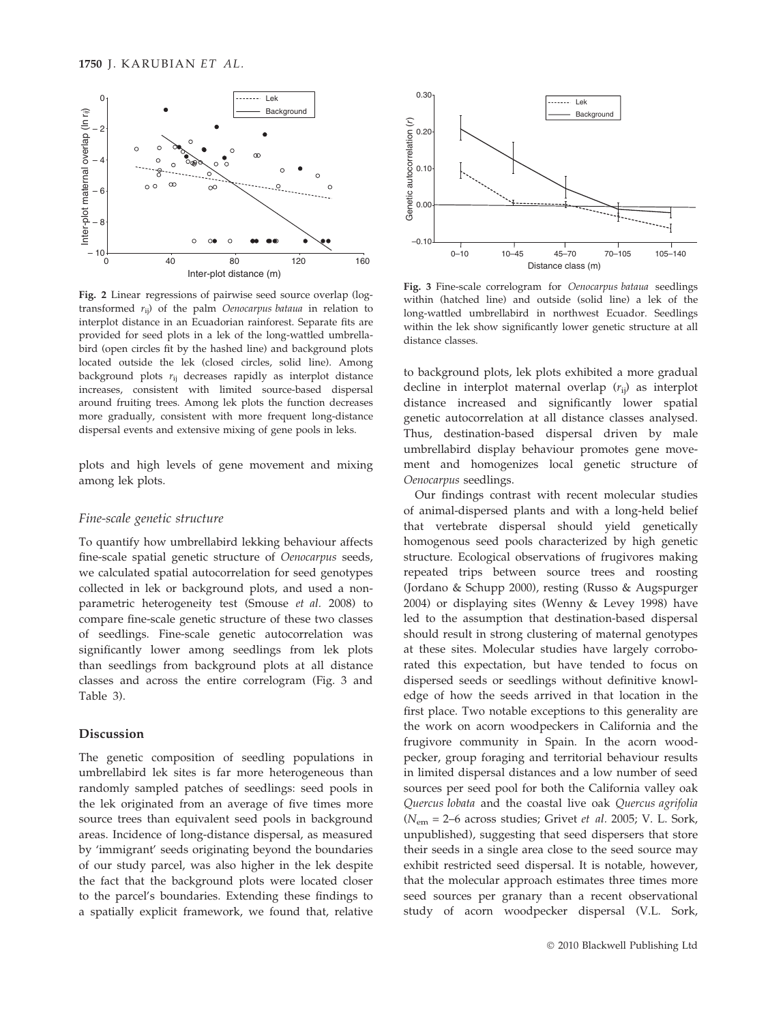

Fig. 2 Linear regressions of pairwise seed source overlap (logtransformed  $r_{ii}$ ) of the palm *Oenocarpus bataua* in relation to interplot distance in an Ecuadorian rainforest. Separate fits are provided for seed plots in a lek of the long-wattled umbrellabird (open circles fit by the hashed line) and background plots located outside the lek (closed circles, solid line). Among background plots  $r_{ij}$  decreases rapidly as interplot distance increases, consistent with limited source-based dispersal around fruiting trees. Among lek plots the function decreases more gradually, consistent with more frequent long-distance dispersal events and extensive mixing of gene pools in leks.

plots and high levels of gene movement and mixing among lek plots.

## Fine-scale genetic structure

To quantify how umbrellabird lekking behaviour affects fine-scale spatial genetic structure of Oenocarpus seeds, we calculated spatial autocorrelation for seed genotypes collected in lek or background plots, and used a nonparametric heterogeneity test (Smouse et al. 2008) to compare fine-scale genetic structure of these two classes of seedlings. Fine-scale genetic autocorrelation was significantly lower among seedlings from lek plots than seedlings from background plots at all distance classes and across the entire correlogram (Fig. 3 and Table 3).

## **Discussion**

The genetic composition of seedling populations in umbrellabird lek sites is far more heterogeneous than randomly sampled patches of seedlings: seed pools in the lek originated from an average of five times more source trees than equivalent seed pools in background areas. Incidence of long-distance dispersal, as measured by 'immigrant' seeds originating beyond the boundaries of our study parcel, was also higher in the lek despite the fact that the background plots were located closer to the parcel's boundaries. Extending these findings to a spatially explicit framework, we found that, relative



Fig. 3 Fine-scale correlogram for Oenocarpus bataua seedlings within (hatched line) and outside (solid line) a lek of the long-wattled umbrellabird in northwest Ecuador. Seedlings within the lek show significantly lower genetic structure at all distance classes.

to background plots, lek plots exhibited a more gradual decline in interplot maternal overlap  $(r_{ii})$  as interplot distance increased and significantly lower spatial genetic autocorrelation at all distance classes analysed. Thus, destination-based dispersal driven by male umbrellabird display behaviour promotes gene movement and homogenizes local genetic structure of Oenocarpus seedlings.

Our findings contrast with recent molecular studies of animal-dispersed plants and with a long-held belief that vertebrate dispersal should yield genetically homogenous seed pools characterized by high genetic structure. Ecological observations of frugivores making repeated trips between source trees and roosting (Jordano & Schupp 2000), resting (Russo & Augspurger 2004) or displaying sites (Wenny & Levey 1998) have led to the assumption that destination-based dispersal should result in strong clustering of maternal genotypes at these sites. Molecular studies have largely corroborated this expectation, but have tended to focus on dispersed seeds or seedlings without definitive knowledge of how the seeds arrived in that location in the first place. Two notable exceptions to this generality are the work on acorn woodpeckers in California and the frugivore community in Spain. In the acorn woodpecker, group foraging and territorial behaviour results in limited dispersal distances and a low number of seed sources per seed pool for both the California valley oak Quercus lobata and the coastal live oak Quercus agrifolia  $(N_{em} = 2-6$  across studies; Grivet et al. 2005; V. L. Sork, unpublished), suggesting that seed dispersers that store their seeds in a single area close to the seed source may exhibit restricted seed dispersal. It is notable, however, that the molecular approach estimates three times more seed sources per granary than a recent observational study of acorn woodpecker dispersal (V.L. Sork,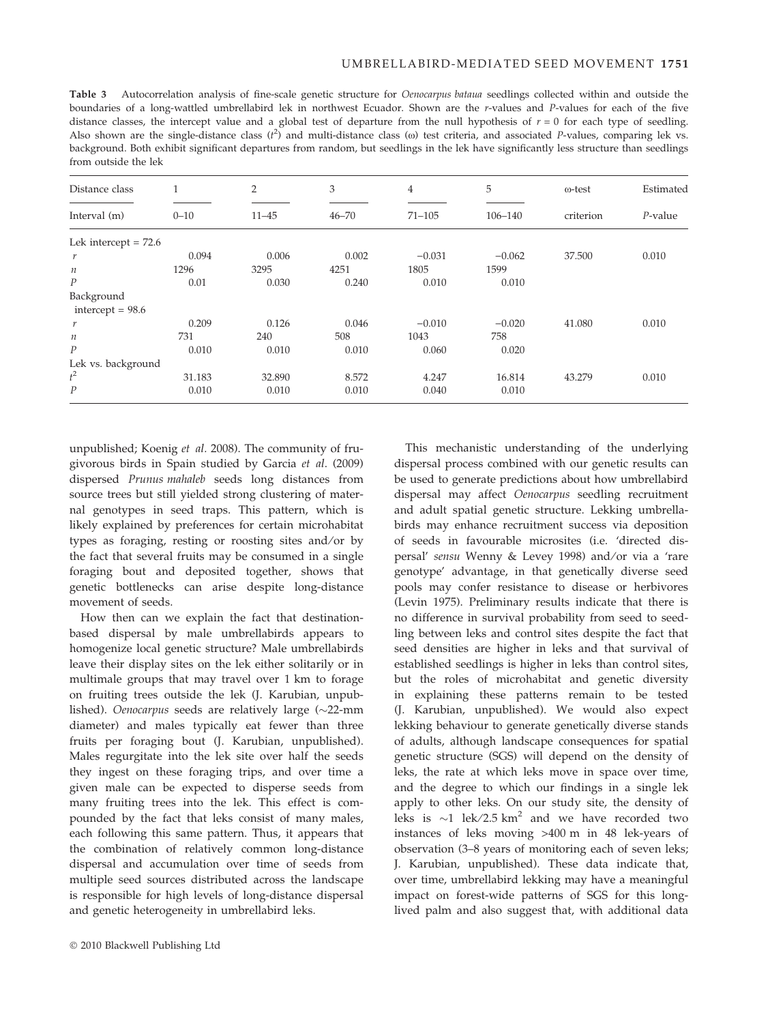Table 3 Autocorrelation analysis of fine-scale genetic structure for *Oenocarpus bataua* seedlings collected within and outside the boundaries of a long-wattled umbrellabird lek in northwest Ecuador. Shown are the r-values and P-values for each of the five distance classes, the intercept value and a global test of departure from the null hypothesis of  $r = 0$  for each type of seedling. Also shown are the single-distance class  $(t^2)$  and multi-distance class ( $\omega$ ) test criteria, and associated P-values, comparing lek vs. background. Both exhibit significant departures from random, but seedlings in the lek have significantly less structure than seedlings from outside the lek

| Distance class                   |          | 2         | 3         | 4          | 5           | $\omega$ -test | Estimated  |
|----------------------------------|----------|-----------|-----------|------------|-------------|----------------|------------|
| Interval (m)                     | $0 - 10$ | $11 - 45$ | $46 - 70$ | $71 - 105$ | $106 - 140$ | criterion      | $P$ -value |
| Lek intercept $= 72.6$           |          |           |           |            |             |                |            |
| $\boldsymbol{r}$                 | 0.094    | 0.006     | 0.002     | $-0.031$   | $-0.062$    | 37.500         | 0.010      |
| $\boldsymbol{n}$                 | 1296     | 3295      | 4251      | 1805       | 1599        |                |            |
| $\boldsymbol{P}$                 | 0.01     | 0.030     | 0.240     | 0.010      | 0.010       |                |            |
| Background<br>intercept = $98.6$ |          |           |           |            |             |                |            |
| $\boldsymbol{r}$                 | 0.209    | 0.126     | 0.046     | $-0.010$   | $-0.020$    | 41.080         | 0.010      |
| $\it n$                          | 731      | 240       | 508       | 1043       | 758         |                |            |
| $\boldsymbol{P}$                 | 0.010    | 0.010     | 0.010     | 0.060      | 0.020       |                |            |
| Lek vs. background               |          |           |           |            |             |                |            |
| $t^2$                            | 31.183   | 32.890    | 8.572     | 4.247      | 16.814      | 43.279         | 0.010      |
| $\boldsymbol{P}$                 | 0.010    | 0.010     | 0.010     | 0.040      | 0.010       |                |            |

unpublished; Koenig et al. 2008). The community of frugivorous birds in Spain studied by Garcia et al. (2009) dispersed Prunus mahaleb seeds long distances from source trees but still yielded strong clustering of maternal genotypes in seed traps. This pattern, which is likely explained by preferences for certain microhabitat types as foraging, resting or roosting sites and/or by the fact that several fruits may be consumed in a single foraging bout and deposited together, shows that genetic bottlenecks can arise despite long-distance movement of seeds.

How then can we explain the fact that destinationbased dispersal by male umbrellabirds appears to homogenize local genetic structure? Male umbrellabirds leave their display sites on the lek either solitarily or in multimale groups that may travel over 1 km to forage on fruiting trees outside the lek (J. Karubian, unpublished). Oenocarpus seeds are relatively large  $(\sim 22$ -mm diameter) and males typically eat fewer than three fruits per foraging bout (J. Karubian, unpublished). Males regurgitate into the lek site over half the seeds they ingest on these foraging trips, and over time a given male can be expected to disperse seeds from many fruiting trees into the lek. This effect is compounded by the fact that leks consist of many males, each following this same pattern. Thus, it appears that the combination of relatively common long-distance dispersal and accumulation over time of seeds from multiple seed sources distributed across the landscape is responsible for high levels of long-distance dispersal and genetic heterogeneity in umbrellabird leks.

This mechanistic understanding of the underlying dispersal process combined with our genetic results can be used to generate predictions about how umbrellabird dispersal may affect Oenocarpus seedling recruitment and adult spatial genetic structure. Lekking umbrellabirds may enhance recruitment success via deposition of seeds in favourable microsites (i.e. 'directed dispersal' sensu Wenny & Levey 1998) and/or via a 'rare genotype' advantage, in that genetically diverse seed pools may confer resistance to disease or herbivores (Levin 1975). Preliminary results indicate that there is no difference in survival probability from seed to seedling between leks and control sites despite the fact that seed densities are higher in leks and that survival of established seedlings is higher in leks than control sites, but the roles of microhabitat and genetic diversity in explaining these patterns remain to be tested (J. Karubian, unpublished). We would also expect lekking behaviour to generate genetically diverse stands of adults, although landscape consequences for spatial genetic structure (SGS) will depend on the density of leks, the rate at which leks move in space over time, and the degree to which our findings in a single lek apply to other leks. On our study site, the density of leks is  $\sim$ 1 lek  $/2.5$  km<sup>2</sup> and we have recorded two instances of leks moving >400 m in 48 lek-years of observation (3–8 years of monitoring each of seven leks; J. Karubian, unpublished). These data indicate that, over time, umbrellabird lekking may have a meaningful impact on forest-wide patterns of SGS for this longlived palm and also suggest that, with additional data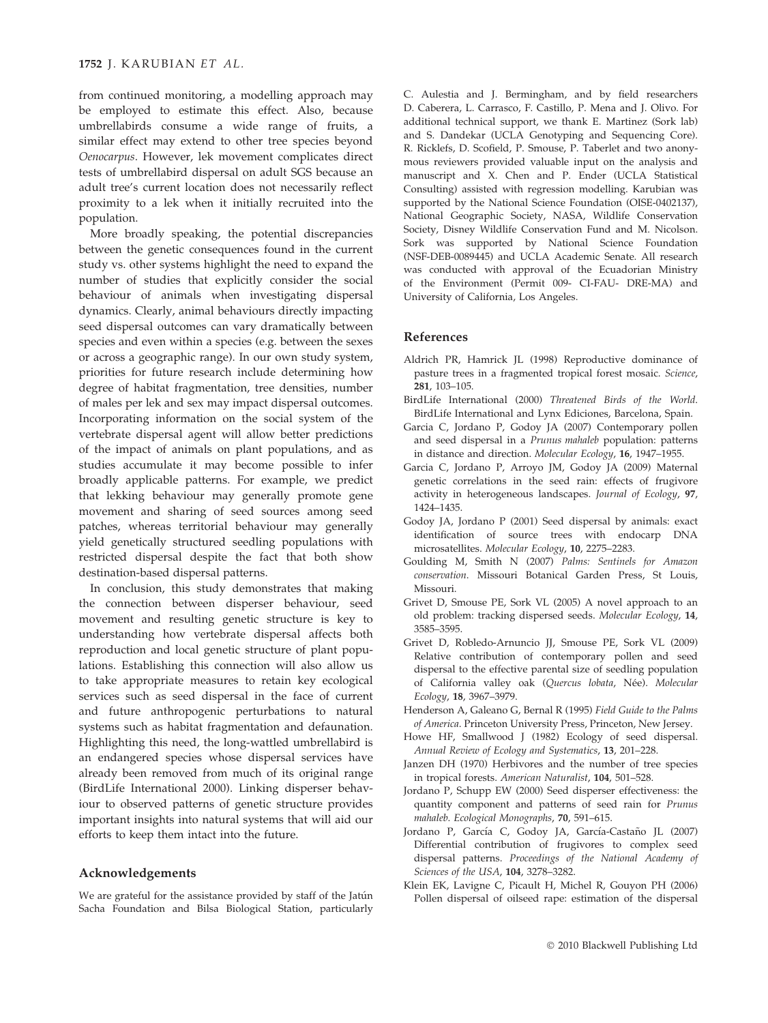from continued monitoring, a modelling approach may be employed to estimate this effect. Also, because umbrellabirds consume a wide range of fruits, a similar effect may extend to other tree species beyond Oenocarpus. However, lek movement complicates direct tests of umbrellabird dispersal on adult SGS because an adult tree's current location does not necessarily reflect proximity to a lek when it initially recruited into the population.

More broadly speaking, the potential discrepancies between the genetic consequences found in the current study vs. other systems highlight the need to expand the number of studies that explicitly consider the social behaviour of animals when investigating dispersal dynamics. Clearly, animal behaviours directly impacting seed dispersal outcomes can vary dramatically between species and even within a species (e.g. between the sexes or across a geographic range). In our own study system, priorities for future research include determining how degree of habitat fragmentation, tree densities, number of males per lek and sex may impact dispersal outcomes. Incorporating information on the social system of the vertebrate dispersal agent will allow better predictions of the impact of animals on plant populations, and as studies accumulate it may become possible to infer broadly applicable patterns. For example, we predict that lekking behaviour may generally promote gene movement and sharing of seed sources among seed patches, whereas territorial behaviour may generally yield genetically structured seedling populations with restricted dispersal despite the fact that both show destination-based dispersal patterns.

In conclusion, this study demonstrates that making the connection between disperser behaviour, seed movement and resulting genetic structure is key to understanding how vertebrate dispersal affects both reproduction and local genetic structure of plant populations. Establishing this connection will also allow us to take appropriate measures to retain key ecological services such as seed dispersal in the face of current and future anthropogenic perturbations to natural systems such as habitat fragmentation and defaunation. Highlighting this need, the long-wattled umbrellabird is an endangered species whose dispersal services have already been removed from much of its original range (BirdLife International 2000). Linking disperser behaviour to observed patterns of genetic structure provides important insights into natural systems that will aid our efforts to keep them intact into the future.

# Acknowledgements

We are grateful for the assistance provided by staff of the Jatún Sacha Foundation and Bilsa Biological Station, particularly

C. Aulestia and J. Bermingham, and by field researchers D. Caberera, L. Carrasco, F. Castillo, P. Mena and J. Olivo. For additional technical support, we thank E. Martinez (Sork lab) and S. Dandekar (UCLA Genotyping and Sequencing Core). R. Ricklefs, D. Scofield, P. Smouse, P. Taberlet and two anonymous reviewers provided valuable input on the analysis and manuscript and X. Chen and P. Ender (UCLA Statistical Consulting) assisted with regression modelling. Karubian was supported by the National Science Foundation (OISE-0402137), National Geographic Society, NASA, Wildlife Conservation Society, Disney Wildlife Conservation Fund and M. Nicolson. Sork was supported by National Science Foundation (NSF-DEB-0089445) and UCLA Academic Senate. All research was conducted with approval of the Ecuadorian Ministry of the Environment (Permit 009- CI-FAU- DRE-MA) and University of California, Los Angeles.

#### References

- Aldrich PR, Hamrick JL (1998) Reproductive dominance of pasture trees in a fragmented tropical forest mosaic. Science, 281, 103–105.
- BirdLife International (2000) Threatened Birds of the World. BirdLife International and Lynx Ediciones, Barcelona, Spain.
- Garcia C, Jordano P, Godoy JA (2007) Contemporary pollen and seed dispersal in a Prunus mahaleb population: patterns in distance and direction. Molecular Ecology, 16, 1947–1955.
- Garcia C, Jordano P, Arroyo JM, Godoy JA (2009) Maternal genetic correlations in the seed rain: effects of frugivore activity in heterogeneous landscapes. Journal of Ecology, 97, 1424–1435.
- Godoy JA, Jordano P (2001) Seed dispersal by animals: exact identification of source trees with endocarp DNA microsatellites. Molecular Ecology, 10, 2275–2283.
- Goulding M, Smith N (2007) Palms: Sentinels for Amazon conservation. Missouri Botanical Garden Press, St Louis, Missouri.
- Grivet D, Smouse PE, Sork VL (2005) A novel approach to an old problem: tracking dispersed seeds. Molecular Ecology, 14, 3585–3595.
- Grivet D, Robledo-Arnuncio JJ, Smouse PE, Sork VL (2009) Relative contribution of contemporary pollen and seed dispersal to the effective parental size of seedling population of California valley oak (Quercus lobata, Née). Molecular Ecology, 18, 3967–3979.
- Henderson A, Galeano G, Bernal R (1995) Field Guide to the Palms of America. Princeton University Press, Princeton, New Jersey.
- Howe HF, Smallwood J (1982) Ecology of seed dispersal. Annual Review of Ecology and Systematics, 13, 201–228.
- Janzen DH (1970) Herbivores and the number of tree species in tropical forests. American Naturalist, 104, 501–528.
- Jordano P, Schupp EW (2000) Seed disperser effectiveness: the quantity component and patterns of seed rain for Prunus mahaleb. Ecological Monographs, 70, 591–615.
- Jordano P, García C, Godoy JA, García-Castaño JL (2007) Differential contribution of frugivores to complex seed dispersal patterns. Proceedings of the National Academy of Sciences of the USA, 104, 3278–3282.
- Klein EK, Lavigne C, Picault H, Michel R, Gouyon PH (2006) Pollen dispersal of oilseed rape: estimation of the dispersal